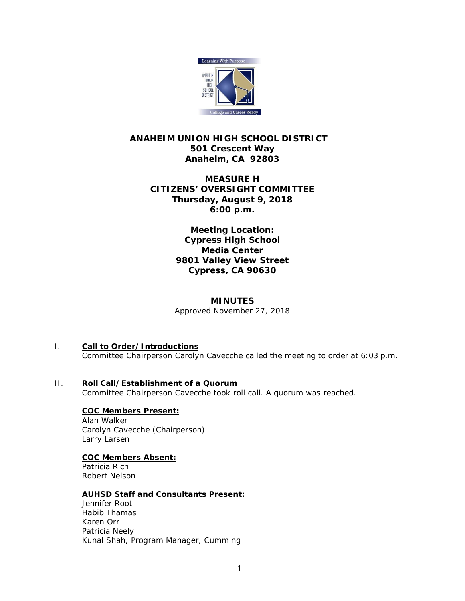

# **ANAHEIM UNION HIGH SCHOOL DISTRICT 501 Crescent Way Anaheim, CA 92803**

# **MEASURE H CITIZENS' OVERSIGHT COMMITTEE Thursday, August 9, 2018 6:00 p.m.**

**Meeting Location: Cypress High School Media Center 9801 Valley View Street Cypress, CA 90630**

# **MINUTES**

*Approved November 27, 2018*

- I. **Call to Order/Introductions** Committee Chairperson Carolyn Cavecche called the meeting to order at 6:03 p.m.
- II. **Roll Call/Establishment of a Quorum** Committee Chairperson Cavecche took roll call. A quorum was reached.

**COC Members Present:** Alan Walker Carolyn Cavecche (Chairperson) Larry Larsen

# **COC Members Absent:**

Patricia Rich Robert Nelson

# **AUHSD Staff and Consultants Present:**

Jennifer Root Habib Thamas Karen Orr Patricia Neely Kunal Shah, Program Manager, Cumming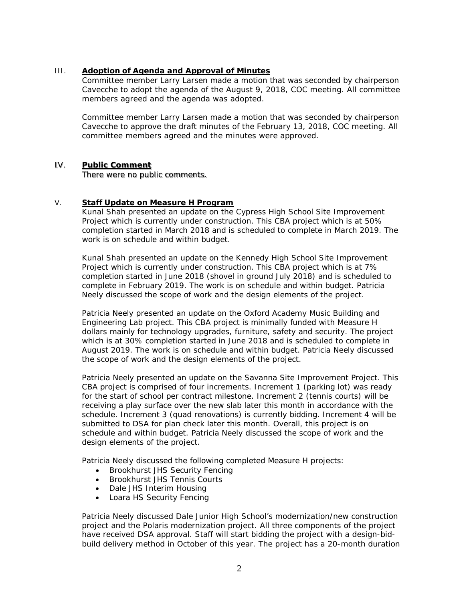## III. **Adoption of Agenda and Approval of Minutes**

Committee member Larry Larsen made a motion that was seconded by chairperson Cavecche to adopt the agenda of the August 9, 2018, COC meeting. All committee members agreed and the agenda was adopted.

Committee member Larry Larsen made a motion that was seconded by chairperson Cavecche to approve the draft minutes of the February 13, 2018, COC meeting. All committee members agreed and the minutes were approved.

### IV. **Public Comment**

There were no public comments.

#### V. **Staff Update on Measure H Program**

Kunal Shah presented an update on the Cypress High School Site Improvement Project which is currently under construction. This CBA project which is at 50% completion started in March 2018 and is scheduled to complete in March 2019. The work is on schedule and within budget.

Kunal Shah presented an update on the Kennedy High School Site Improvement Project which is currently under construction. This CBA project which is at 7% completion started in June 2018 (shovel in ground July 2018) and is scheduled to complete in February 2019. The work is on schedule and within budget. Patricia Neely discussed the scope of work and the design elements of the project.

Patricia Neely presented an update on the Oxford Academy Music Building and Engineering Lab project. This CBA project is minimally funded with Measure H dollars mainly for technology upgrades, furniture, safety and security. The project which is at 30% completion started in June 2018 and is scheduled to complete in August 2019. The work is on schedule and within budget. Patricia Neely discussed the scope of work and the design elements of the project.

Patricia Neely presented an update on the Savanna Site Improvement Project. This CBA project is comprised of four increments. Increment 1 (parking lot) was ready for the start of school per contract milestone. Increment 2 (tennis courts) will be receiving a play surface over the new slab later this month in accordance with the schedule. Increment 3 (quad renovations) is currently bidding. Increment 4 will be submitted to DSA for plan check later this month. Overall, this project is on schedule and within budget. Patricia Neely discussed the scope of work and the design elements of the project.

Patricia Neely discussed the following completed Measure H projects:

- Brookhurst JHS Security Fencing
- Brookhurst JHS Tennis Courts
- Dale JHS Interim Housing
- Loara HS Security Fencing

Patricia Neely discussed Dale Junior High School's modernization/new construction project and the Polaris modernization project. All three components of the project have received DSA approval. Staff will start bidding the project with a design-bidbuild delivery method in October of this year. The project has a 20-month duration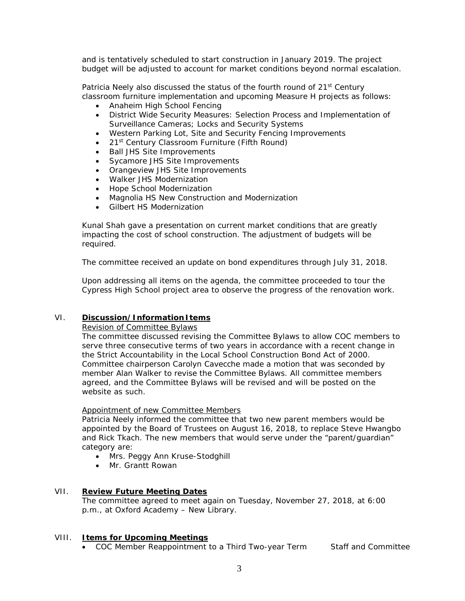and is tentatively scheduled to start construction in January 2019. The project budget will be adjusted to account for market conditions beyond normal escalation.

Patricia Neely also discussed the status of the fourth round of 21<sup>st</sup> Century classroom furniture implementation and upcoming Measure H projects as follows:

- Anaheim High School Fencing
- District Wide Security Measures: *Selection Process and Implementation of Surveillance Cameras; Locks and Security Systems*
- Western Parking Lot, Site and Security Fencing Improvements
- 21<sup>st</sup> Century Classroom Furniture (Fifth Round)
- Ball JHS Site Improvements
- Sycamore JHS Site Improvements
- Orangeview JHS Site Improvements
- Walker JHS Modernization
- Hope School Modernization
- Magnolia HS New Construction and Modernization
- Gilbert HS Modernization

Kunal Shah gave a presentation on current market conditions that are greatly impacting the cost of school construction. The adjustment of budgets will be required.

The committee received an update on bond expenditures through July 31, 2018.

Upon addressing all items on the agenda, the committee proceeded to tour the Cypress High School project area to observe the progress of the renovation work.

## VI. **Discussion/Information Items**

Revision of Committee Bylaws

The committee discussed revising the Committee Bylaws to allow COC members to serve three consecutive terms of two years in accordance with a recent change in the Strict Accountability in the Local School Construction Bond Act of 2000. Committee chairperson Carolyn Cavecche made a motion that was seconded by member Alan Walker to revise the Committee Bylaws. All committee members agreed, and the Committee Bylaws will be revised and will be posted on the website as such.

## Appointment of new Committee Members

Patricia Neely informed the committee that two new parent members would be appointed by the Board of Trustees on August 16, 2018, to replace Steve Hwangbo and Rick Tkach. The new members that would serve under the "parent/guardian" category are:

- Mrs. Peggy Ann Kruse-Stodghill
- Mr. Grantt Rowan

## VII. **Review Future Meeting Dates**

The committee agreed to meet again on Tuesday, November 27, 2018, at 6:00 p.m., at Oxford Academy – New Library.

## VIII. **Items for Upcoming Meetings**

• COC Member Reappointment to a Third Two-year Term Staff and Committee